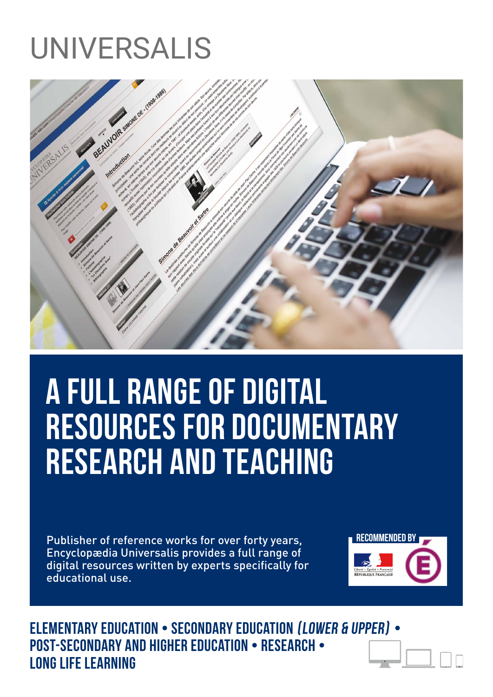# UNIVERSALIS



# A FULL RANGE OF DIGITAL RESOURCES FOR DOCUMENTARY RESEARCH AND TEACHING

Publisher of reference works for over forty years, Encyclopædia Universalis provides a full range of digital resources written by experts specifically for educational use.



Elementary education • Secondary education (lower & upper) • Post-secondary and Higher education • Research • Long life learning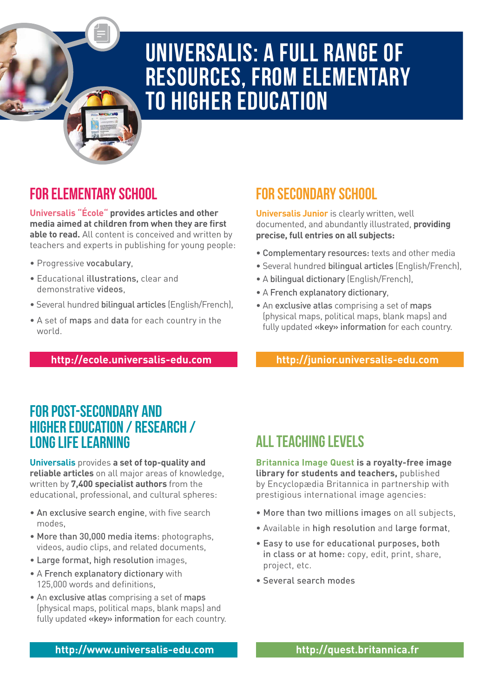

## UNIVERSALIS: A full range of resources, from elementary to higher education

### FOR ELEMENTARY SCHOOL

**Universalis "École" provides articles and other media aimed at children from when they are first able to read.** All content is conceived and written by teachers and experts in publishing for young people:

- Progressive vocabulary,
- Educational illustrations, clear and demonstrative videos,
- Several hundred bilingual articles (English/French),
- A set of maps and data for each country in the world.

**http://ecole.universalis-edu.com**

### FOR SECONDARY SCHOOL

**Universalis Junior** is clearly written, well documented, and abundantly illustrated, **providing precise, full entries on all subjects:**

- Complementary resources: texts and other media
- Several hundred bilingual articles (English/French),
- A bilingual dictionary (English/French),
- A French explanatory dictionary,
- An exclusive atlas comprising a set of maps (physical maps, political maps, blank maps) and fully updated «key» information for each country.

**http://junior.universalis-edu.com**

### FOR POST-SECONDARY AND HIGHER EDUCATION / RESEARCH / LONG LIFE LEARNING

**Universalis** provides **a set of top-quality and reliable articles** on all major areas of knowledge, written by **7,400 specialist authors** from the educational, professional, and cultural spheres:

- An exclusive search engine, with five search modes,
- More than 30,000 media items: photographs, videos, audio clips, and related documents,
- Large format, high resolution images,
- A French explanatory dictionary with 125,000 words and definitions,
- An exclusive atlas comprising a set of maps (physical maps, political maps, blank maps) and fully updated «key» information for each country.

### **ALL TEACHING LEVELS**

**Britannica Image Quest is a royalty-free image library for students and teachers,** published by Encyclopædia Britannica in partnership with prestigious international image agencies:

- More than two millions images on all subjects,
- Available in high resolution and large format,
- Easy to use for educational purposes, both in class or at home: copy, edit, print, share, project, etc.
- Several search modes

**http://www.universalis-edu.com http://quest.britannica.fr**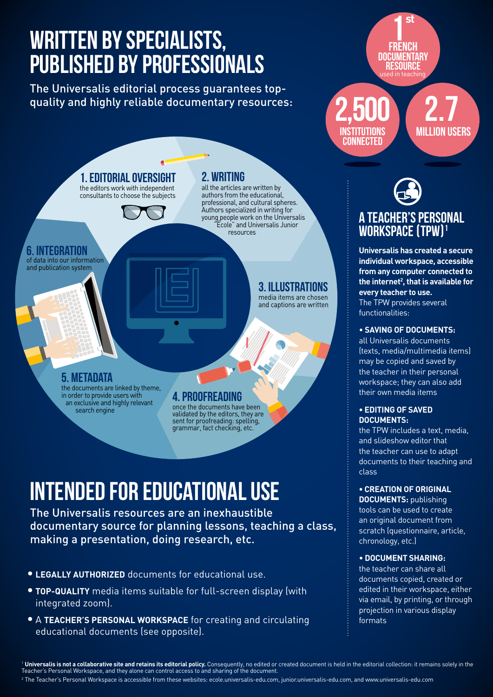# WRITTEN BY SPECIALISTS, PUBLISHED BY PROFESSIONALS

The Universalis editorial process guarantees topquality and highly reliable documentary resources:



# INTENDED FOR EDUCATIONAL USE

The Universalis resources are an inexhaustible documentary source for planning lessons, teaching a class, making a presentation, doing research, etc.

- **• Legally authorized** documents for educational use.
- **• Top-quality** media items suitable for full-screen display (with integrated zoom).
- **•** A **Teacher's Personal Workspace** for creating and circulating educational documents (see opposite).

**french DOCUMENTARY** used in teaching **st RESOURCE** 

2.7 million users 2,500 **INSTITUTIONS CONNECTED** 

# A TEACHER'S PERSONAL WORKSPACE (TPW) 1

**Universalis has created a secure individual workspace, accessible from any computer connected to the internet2 , that is available for every teacher to use.** The TPW provides several functionalities:

### • **Saving of documents:**

all Universalis documents (texts, media/multimedia items) may be copied and saved by the teacher in their personal workspace; they can also add their own media items

#### **• Editing of saved documents:**

the TPW includes a text, media, and slideshow editor that the teacher can use to adapt documents to their teaching and class

**• Creation of original** 

**DOCUMENTS: publishing** tools can be used to create an original document from scratch (questionnaire, article, chronology, etc.)

#### • **Document sharing:**

the teacher can share all documents copied, created or edited in their workspace, either via email, by printing, or through projection in various display formats

<sup>1</sup> **Universalis is not a collaborative site and retains its editorial policy.** Consequently, no edited or created document is held in the editorial collection: it remains solely in the Teacher's Personal Workspace, and they alone can control access to and sharing of the document.

 $^{\rm 2}$  The Teacher's Personal Workspace is accessible from these websites: ecole.universalis-edu.com, junior.universalis-edu.com, and www.universalis-edu.com